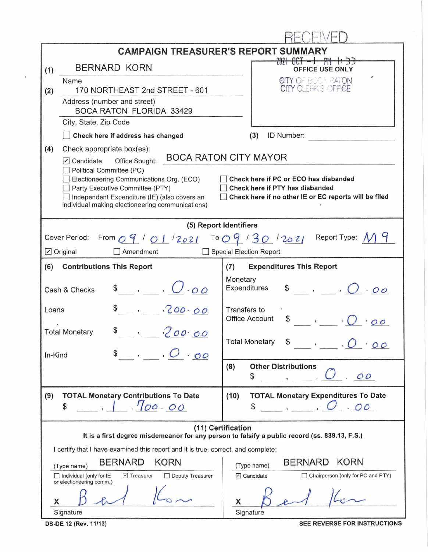| <b>CAMPAIGN TREASURER'S REPORT SUMMARY</b>                                                                                                                                                                                                                                                                                                       |                                                                                               |                                                                                                              |  |  |  |  |  |  |  |
|--------------------------------------------------------------------------------------------------------------------------------------------------------------------------------------------------------------------------------------------------------------------------------------------------------------------------------------------------|-----------------------------------------------------------------------------------------------|--------------------------------------------------------------------------------------------------------------|--|--|--|--|--|--|--|
| (1)                                                                                                                                                                                                                                                                                                                                              | <b>BERNARD KORN</b>                                                                           | <del>2021 OCT - 1 PM 1: 33</del><br>OFFICE USE ONLY<br><b>CITY OF BOCA RATON</b><br>CITY CLEFFICS OFFICE     |  |  |  |  |  |  |  |
| (2)                                                                                                                                                                                                                                                                                                                                              | Name<br>170 NORTHEAST 2nd STREET - 601                                                        |                                                                                                              |  |  |  |  |  |  |  |
|                                                                                                                                                                                                                                                                                                                                                  | Address (number and street)                                                                   |                                                                                                              |  |  |  |  |  |  |  |
|                                                                                                                                                                                                                                                                                                                                                  | <b>BOCA RATON FLORIDA 33429</b>                                                               |                                                                                                              |  |  |  |  |  |  |  |
|                                                                                                                                                                                                                                                                                                                                                  | City, State, Zip Code<br>Check here if address has changed                                    | ID Number:<br>(3)                                                                                            |  |  |  |  |  |  |  |
| (4)                                                                                                                                                                                                                                                                                                                                              | Check appropriate box(es):                                                                    |                                                                                                              |  |  |  |  |  |  |  |
|                                                                                                                                                                                                                                                                                                                                                  | Office Sought:<br>$\triangledown$ Candidate                                                   | <b>BOCA RATON CITY MAYOR</b>                                                                                 |  |  |  |  |  |  |  |
| Political Committee (PC)<br>Check here if PC or ECO has disbanded<br>Electioneering Communications Org. (ECO)<br>Party Executive Committee (PTY)<br>Check here if PTY has disbanded<br>Check here if no other IE or EC reports will be filed<br>Independent Expenditure (IE) (also covers an<br>individual making electioneering communications) |                                                                                               |                                                                                                              |  |  |  |  |  |  |  |
| (5) Report Identifiers                                                                                                                                                                                                                                                                                                                           |                                                                                               |                                                                                                              |  |  |  |  |  |  |  |
|                                                                                                                                                                                                                                                                                                                                                  | From $09'$ / 01/2021 To 09/30/2021<br>Cover Period:                                           | Report Type: $\mathcal N$                                                                                    |  |  |  |  |  |  |  |
|                                                                                                                                                                                                                                                                                                                                                  | $\nu$ Original<br>$\Box$ Amendment                                                            | Special Election Report                                                                                      |  |  |  |  |  |  |  |
| (6)                                                                                                                                                                                                                                                                                                                                              | <b>Contributions This Report</b>                                                              | <b>Expenditures This Report</b><br>(7)                                                                       |  |  |  |  |  |  |  |
| $\ddot{\mathcal{S}}$ , $\dot{\mathcal{O}}$ 00<br>Cash & Checks                                                                                                                                                                                                                                                                                   |                                                                                               | Monetary<br>$\begin{array}{ccc} \text{S} & , & , \ \end{array}$<br>Expenditures                              |  |  |  |  |  |  |  |
| Loans                                                                                                                                                                                                                                                                                                                                            |                                                                                               | Transfers to<br><b>Office Account</b><br>\$<br>$\mathcal{L}$ , $\mathcal{L}$                                 |  |  |  |  |  |  |  |
|                                                                                                                                                                                                                                                                                                                                                  | 700.00<br><b>Total Monetary</b>                                                               | <b>Total Monetary</b><br>00                                                                                  |  |  |  |  |  |  |  |
| In-Kind                                                                                                                                                                                                                                                                                                                                          | $\int$ , $O \cdot \sigma$                                                                     |                                                                                                              |  |  |  |  |  |  |  |
|                                                                                                                                                                                                                                                                                                                                                  |                                                                                               | <b>Other Distributions</b><br>(8)<br>00<br>\$                                                                |  |  |  |  |  |  |  |
| (9)                                                                                                                                                                                                                                                                                                                                              | <b>TOTAL Monetary Contributions To Date</b><br>1, 1, 700.00<br>\$                             | (10)<br><b>TOTAL Monetary Expenditures To Date</b><br>$\overline{C}$ , $\overline{C}$ , $\overline{C}$<br>\$ |  |  |  |  |  |  |  |
| (11) Certification<br>It is a first degree misdemeanor for any person to falsify a public record (ss. 839.13, F.S.)                                                                                                                                                                                                                              |                                                                                               |                                                                                                              |  |  |  |  |  |  |  |
| I certify that I have examined this report and it is true, correct, and complete:                                                                                                                                                                                                                                                                |                                                                                               |                                                                                                              |  |  |  |  |  |  |  |
| <b>KORN</b><br><b>BERNARD</b><br><b>KORN</b><br><b>BERNARD</b><br>(Type name)<br>(Type name)                                                                                                                                                                                                                                                     |                                                                                               |                                                                                                              |  |  |  |  |  |  |  |
|                                                                                                                                                                                                                                                                                                                                                  | $\Box$ Individual (only for IE<br>□ Treasurer<br>Deputy Treasurer<br>or electioneering comm.) | $\triangleright$ Candidate<br>Chairperson (only for PC and PTY)                                              |  |  |  |  |  |  |  |
| X                                                                                                                                                                                                                                                                                                                                                |                                                                                               | X                                                                                                            |  |  |  |  |  |  |  |
|                                                                                                                                                                                                                                                                                                                                                  | Signature                                                                                     | Signature                                                                                                    |  |  |  |  |  |  |  |

 $\bar{I}$ 

**OS-DE 12 (Rev. 11/13)** SEE REVERSE FOR INSTRUCTIONS